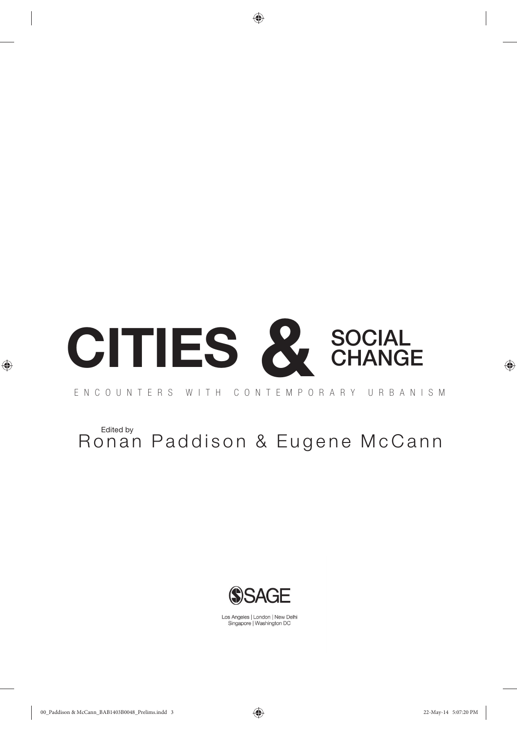

#### E N C O U N T E R S W I T H C O N T E M P O R A R Y U R B A N I S M

## Ronan Paddison & Eugene McCann Edited by



Los Angeles | London | New Delhi Singapore | Washington DC

◈

◈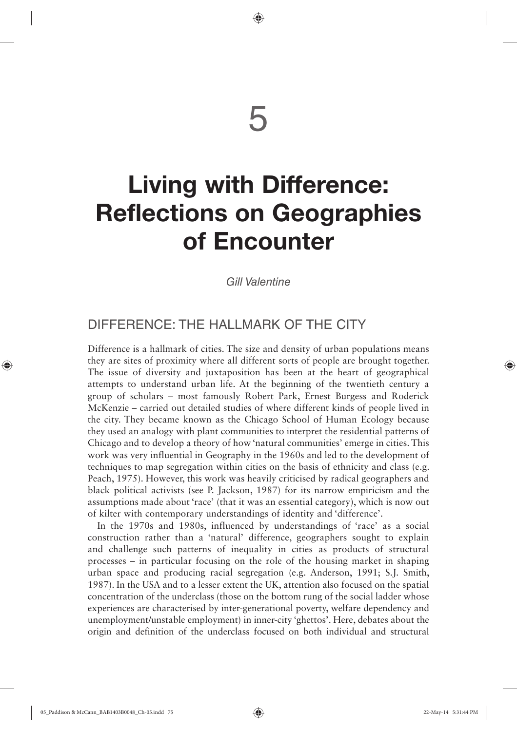# Living with Difference: Reflections on Geographies of Encounter

Gill Valentine

## DIFFERENCE: THE HALLMARK OF THE CITY

Difference is a hallmark of cities. The size and density of urban populations means they are sites of proximity where all different sorts of people are brought together. The issue of diversity and juxtaposition has been at the heart of geographical attempts to understand urban life. At the beginning of the twentieth century a group of scholars – most famously Robert Park, Ernest Burgess and Roderick McKenzie – carried out detailed studies of where different kinds of people lived in the city. They became known as the Chicago School of Human Ecology because they used an analogy with plant communities to interpret the residential patterns of Chicago and to develop a theory of how 'natural communities' emerge in cities. This work was very influential in Geography in the 1960s and led to the development of techniques to map segregation within cities on the basis of ethnicity and class (e.g. Peach, 1975). However, this work was heavily criticised by radical geographers and black political activists (see P. Jackson, 1987) for its narrow empiricism and the assumptions made about 'race' (that it was an essential category), which is now out of kilter with contemporary understandings of identity and 'difference'.

In the 1970s and 1980s, influenced by understandings of 'race' as a social construction rather than a 'natural' difference, geographers sought to explain and challenge such patterns of inequality in cities as products of structural processes – in particular focusing on the role of the housing market in shaping urban space and producing racial segregation (e.g. Anderson, 1991; S.J. Smith, 1987). In the USA and to a lesser extent the UK, attention also focused on the spatial concentration of the underclass (those on the bottom rung of the social ladder whose experiences are characterised by inter-generational poverty, welfare dependency and unemployment/unstable employment) in inner-city 'ghettos'. Here, debates about the origin and definition of the underclass focused on both individual and structural

05\_Paddison & McCann\_BAB1403B0048\_Ch-05.indd 75 22-May-14 5:31:44 PM

◈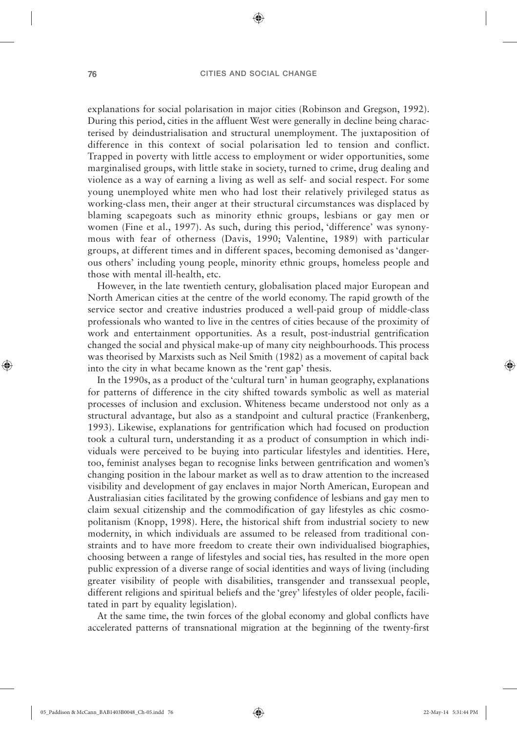explanations for social polarisation in major cities (Robinson and Gregson, 1992). During this period, cities in the affluent West were generally in decline being characterised by deindustrialisation and structural unemployment. The juxtaposition of difference in this context of social polarisation led to tension and conflict. Trapped in poverty with little access to employment or wider opportunities, some marginalised groups, with little stake in society, turned to crime, drug dealing and violence as a way of earning a living as well as self- and social respect. For some young unemployed white men who had lost their relatively privileged status as working-class men, their anger at their structural circumstances was displaced by blaming scapegoats such as minority ethnic groups, lesbians or gay men or women (Fine et al., 1997). As such, during this period, 'difference' was synonymous with fear of otherness (Davis, 1990; Valentine, 1989) with particular groups, at different times and in different spaces, becoming demonised as 'dangerous others' including young people, minority ethnic groups, homeless people and those with mental ill-health, etc.

However, in the late twentieth century, globalisation placed major European and North American cities at the centre of the world economy. The rapid growth of the service sector and creative industries produced a well-paid group of middle-class professionals who wanted to live in the centres of cities because of the proximity of work and entertainment opportunities. As a result, post-industrial gentrification changed the social and physical make-up of many city neighbourhoods. This process was theorised by Marxists such as Neil Smith (1982) as a movement of capital back into the city in what became known as the 'rent gap' thesis.

In the 1990s, as a product of the 'cultural turn' in human geography, explanations for patterns of difference in the city shifted towards symbolic as well as material processes of inclusion and exclusion. Whiteness became understood not only as a structural advantage, but also as a standpoint and cultural practice (Frankenberg, 1993). Likewise, explanations for gentrification which had focused on production took a cultural turn, understanding it as a product of consumption in which individuals were perceived to be buying into particular lifestyles and identities. Here, too, feminist analyses began to recognise links between gentrification and women's changing position in the labour market as well as to draw attention to the increased visibility and development of gay enclaves in major North American, European and Australiasian cities facilitated by the growing confidence of lesbians and gay men to claim sexual citizenship and the commodification of gay lifestyles as chic cosmopolitanism (Knopp, 1998). Here, the historical shift from industrial society to new modernity, in which individuals are assumed to be released from traditional constraints and to have more freedom to create their own individualised biographies, choosing between a range of lifestyles and social ties, has resulted in the more open public expression of a diverse range of social identities and ways of living (including greater visibility of people with disabilities, transgender and transsexual people, different religions and spiritual beliefs and the 'grey' lifestyles of older people, facilitated in part by equality legislation).

At the same time, the twin forces of the global economy and global conflicts have accelerated patterns of transnational migration at the beginning of the twenty-first

◈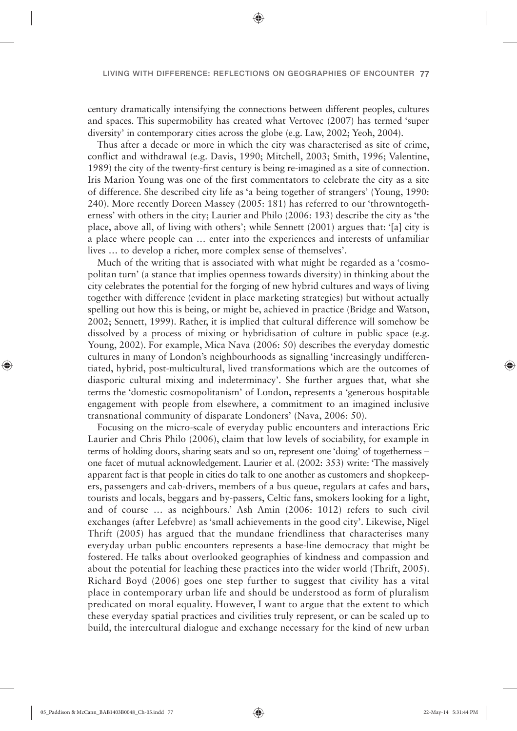century dramatically intensifying the connections between different peoples, cultures and spaces. This supermobility has created what Vertovec (2007) has termed 'super diversity' in contemporary cities across the globe (e.g. Law, 2002; Yeoh, 2004).

Thus after a decade or more in which the city was characterised as site of crime, conflict and withdrawal (e.g. Davis, 1990; Mitchell, 2003; Smith, 1996; Valentine, 1989) the city of the twenty-first century is being re-imagined as a site of connection. Iris Marion Young was one of the first commentators to celebrate the city as a site of difference. She described city life as 'a being together of strangers' (Young, 1990: 240). More recently Doreen Massey (2005: 181) has referred to our 'throwntogetherness' with others in the city; Laurier and Philo (2006: 193) describe the city as **'**the place, above all, of living with others'; while Sennett (2001) argues that: '[a] city is a place where people can … enter into the experiences and interests of unfamiliar lives … to develop a richer, more complex sense of themselves'.

Much of the writing that is associated with what might be regarded as a 'cosmopolitan turn' (a stance that implies openness towards diversity) in thinking about the city celebrates the potential for the forging of new hybrid cultures and ways of living together with difference (evident in place marketing strategies) but without actually spelling out how this is being, or might be, achieved in practice (Bridge and Watson, 2002; Sennett, 1999). Rather, it is implied that cultural difference will somehow be dissolved by a process of mixing or hybridisation of culture in public space (e.g. Young, 2002). For example, Mica Nava (2006: 50) describes the everyday domestic cultures in many of London's neighbourhoods as signalling 'increasingly undifferentiated, hybrid, post-multicultural, lived transformations which are the outcomes of diasporic cultural mixing and indeterminacy'. She further argues that, what she terms the 'domestic cosmopolitanism' of London, represents a 'generous hospitable engagement with people from elsewhere, a commitment to an imagined inclusive transnational community of disparate Londoners' (Nava, 2006: 50).

Focusing on the micro-scale of everyday public encounters and interactions Eric Laurier and Chris Philo (2006), claim that low levels of sociability, for example in terms of holding doors, sharing seats and so on, represent one 'doing' of togetherness – one facet of mutual acknowledgement. Laurier et al. (2002: 353) write: 'The massively apparent fact is that people in cities do talk to one another as customers and shopkeepers, passengers and cab-drivers, members of a bus queue, regulars at cafes and bars, tourists and locals, beggars and by-passers, Celtic fans, smokers looking for a light, and of course … as neighbours.' Ash Amin (2006: 1012) refers to such civil exchanges (after Lefebvre) as 'small achievements in the good city'. Likewise, Nigel Thrift (2005) has argued that the mundane friendliness that characterises many everyday urban public encounters represents a base-line democracy that might be fostered. He talks about overlooked geographies of kindness and compassion and about the potential for leaching these practices into the wider world (Thrift, 2005). Richard Boyd (2006) goes one step further to suggest that civility has a vital place in contemporary urban life and should be understood as form of pluralism predicated on moral equality. However, I want to argue that the extent to which these everyday spatial practices and civilities truly represent, or can be scaled up to build, the intercultural dialogue and exchange necessary for the kind of new urban

◈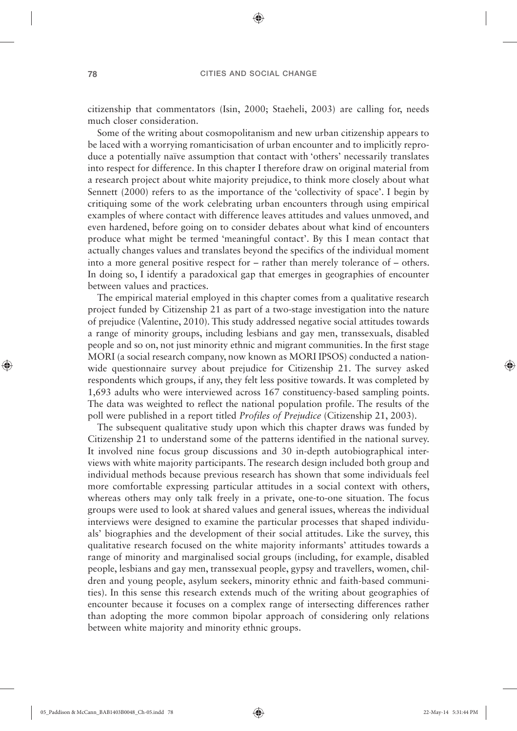citizenship that commentators (Isin, 2000; Staeheli, 2003) are calling for, needs much closer consideration.

Some of the writing about cosmopolitanism and new urban citizenship appears to be laced with a worrying romanticisation of urban encounter and to implicitly reproduce a potentially naïve assumption that contact with 'others' necessarily translates into respect for difference. In this chapter I therefore draw on original material from a research project about white majority prejudice, to think more closely about what Sennett (2000) refers to as the importance of the 'collectivity of space'. I begin by critiquing some of the work celebrating urban encounters through using empirical examples of where contact with difference leaves attitudes and values unmoved, and even hardened, before going on to consider debates about what kind of encounters produce what might be termed 'meaningful contact'. By this I mean contact that actually changes values and translates beyond the specifics of the individual moment into a more general positive respect for – rather than merely tolerance of – others. In doing so, I identify a paradoxical gap that emerges in geographies of encounter between values and practices.

The empirical material employed in this chapter comes from a qualitative research project funded by Citizenship 21 as part of a two-stage investigation into the nature of prejudice (Valentine, 2010). This study addressed negative social attitudes towards a range of minority groups, including lesbians and gay men, transsexuals, disabled people and so on, not just minority ethnic and migrant communities. In the first stage MORI (a social research company, now known as MORI IPSOS) conducted a nationwide questionnaire survey about prejudice for Citizenship 21. The survey asked respondents which groups, if any, they felt less positive towards. It was completed by 1,693 adults who were interviewed across 167 constituency-based sampling points. The data was weighted to reflect the national population profile. The results of the poll were published in a report titled *Profiles of Prejudice* (Citizenship 21, 2003).

The subsequent qualitative study upon which this chapter draws was funded by Citizenship 21 to understand some of the patterns identified in the national survey. It involved nine focus group discussions and 30 in-depth autobiographical interviews with white majority participants. The research design included both group and individual methods because previous research has shown that some individuals feel more comfortable expressing particular attitudes in a social context with others, whereas others may only talk freely in a private, one-to-one situation. The focus groups were used to look at shared values and general issues, whereas the individual interviews were designed to examine the particular processes that shaped individuals' biographies and the development of their social attitudes. Like the survey, this qualitative research focused on the white majority informants' attitudes towards a range of minority and marginalised social groups (including, for example, disabled people, lesbians and gay men, transsexual people, gypsy and travellers, women, children and young people, asylum seekers, minority ethnic and faith-based communities). In this sense this research extends much of the writing about geographies of encounter because it focuses on a complex range of intersecting differences rather than adopting the more common bipolar approach of considering only relations between white majority and minority ethnic groups.

◈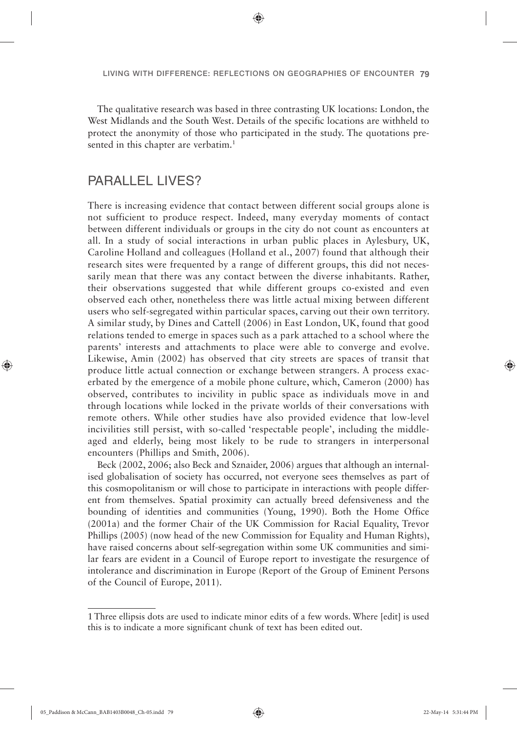The qualitative research was based in three contrasting UK locations: London, the West Midlands and the South West. Details of the specific locations are withheld to protect the anonymity of those who participated in the study. The quotations presented in this chapter are verbatim.<sup>1</sup>

#### PARALLEL LIVES?

There is increasing evidence that contact between different social groups alone is not sufficient to produce respect. Indeed, many everyday moments of contact between different individuals or groups in the city do not count as encounters at all. In a study of social interactions in urban public places in Aylesbury, UK, Caroline Holland and colleagues (Holland et al., 2007) found that although their research sites were frequented by a range of different groups, this did not necessarily mean that there was any contact between the diverse inhabitants. Rather, their observations suggested that while different groups co-existed and even observed each other, nonetheless there was little actual mixing between different users who self-segregated within particular spaces, carving out their own territory. A similar study, by Dines and Cattell (2006) in East London, UK, found that good relations tended to emerge in spaces such as a park attached to a school where the parents' interests and attachments to place were able to converge and evolve. Likewise, Amin (2002) has observed that city streets are spaces of transit that produce little actual connection or exchange between strangers. A process exacerbated by the emergence of a mobile phone culture, which, Cameron (2000) has observed, contributes to incivility in public space as individuals move in and through locations while locked in the private worlds of their conversations with remote others. While other studies have also provided evidence that low-level incivilities still persist, with so-called 'respectable people', including the middleaged and elderly, being most likely to be rude to strangers in interpersonal encounters (Phillips and Smith, 2006).

Beck (2002, 2006; also Beck and Sznaider, 2006) argues that although an internalised globalisation of society has occurred, not everyone sees themselves as part of this cosmopolitanism or will chose to participate in interactions with people different from themselves. Spatial proximity can actually breed defensiveness and the bounding of identities and communities (Young, 1990). Both the Home Office (2001a) and the former Chair of the UK Commission for Racial Equality, Trevor Phillips (2005) (now head of the new Commission for Equality and Human Rights), have raised concerns about self-segregation within some UK communities and similar fears are evident in a Council of Europe report to investigate the resurgence of intolerance and discrimination in Europe (Report of the Group of Eminent Persons of the Council of Europe, 2011).

05\_Paddison & McCann\_BAB1403B0048\_Ch-05.indd 79 22-May-14 5:31:44 PM

◈

<sup>1</sup> Three ellipsis dots are used to indicate minor edits of a few words. Where [edit] is used this is to indicate a more significant chunk of text has been edited out.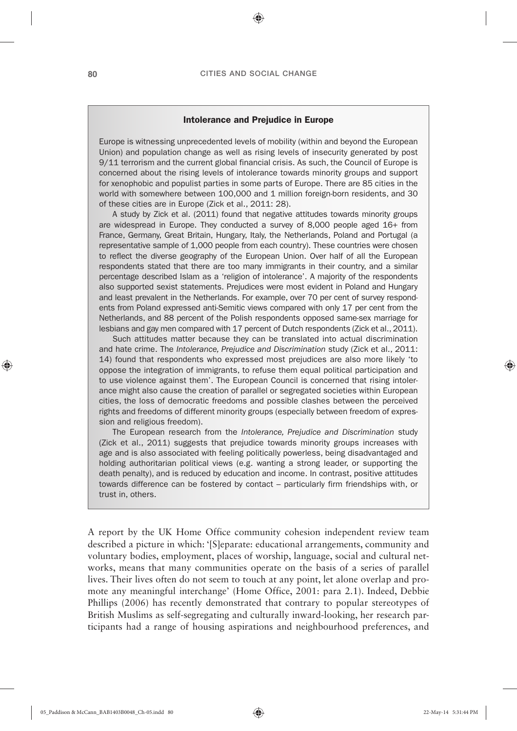#### Intolerance and Prejudice in Europe

Europe is witnessing unprecedented levels of mobility (within and beyond the European Union) and population change as well as rising levels of insecurity generated by post 9/11 terrorism and the current global financial crisis. As such, the Council of Europe is concerned about the rising levels of intolerance towards minority groups and support for xenophobic and populist parties in some parts of Europe. There are 85 cities in the world with somewhere between 100,000 and 1 million foreign-born residents, and 30 of these cities are in Europe (Zick et al., 2011: 28).

A study by Zick et al. (2011) found that negative attitudes towards minority groups are widespread in Europe. They conducted a survey of 8,000 people aged 16+ from France, Germany, Great Britain, Hungary, Italy, the Netherlands, Poland and Portugal (a representative sample of 1,000 people from each country). These countries were chosen to reflect the diverse geography of the European Union. Over half of all the European respondents stated that there are too many immigrants in their country, and a similar percentage described Islam as a 'religion of intolerance'. A majority of the respondents also supported sexist statements. Prejudices were most evident in Poland and Hungary and least prevalent in the Netherlands. For example, over 70 per cent of survey respondents from Poland expressed anti-Semitic views compared with only 17 per cent from the Netherlands, and 88 percent of the Polish respondents opposed same-sex marriage for lesbians and gay men compared with 17 percent of Dutch respondents (Zick et al., 2011).

Such attitudes matter because they can be translated into actual discrimination and hate crime. The Intolerance, Prejudice and Discrimination study (Zick et al., 2011: 14) found that respondents who expressed most prejudices are also more likely 'to oppose the integration of immigrants, to refuse them equal political participation and to use violence against them'. The European Council is concerned that rising intolerance might also cause the creation of parallel or segregated societies within European cities, the loss of democratic freedoms and possible clashes between the perceived rights and freedoms of different minority groups (especially between freedom of expression and religious freedom).

The European research from the Intolerance, Prejudice and Discrimination study (Zick et al., 2011) suggests that prejudice towards minority groups increases with age and is also associated with feeling politically powerless, being disadvantaged and holding authoritarian political views (e.g. wanting a strong leader, or supporting the death penalty), and is reduced by education and income. In contrast, positive attitudes towards difference can be fostered by contact – particularly firm friendships with, or trust in, others.

A report by the UK Home Office community cohesion independent review team described a picture in which: '[S]eparate: educational arrangements, community and voluntary bodies, employment, places of worship, language, social and cultural networks, means that many communities operate on the basis of a series of parallel lives. Their lives often do not seem to touch at any point, let alone overlap and promote any meaningful interchange' (Home Office, 2001: para 2.1). Indeed, Debbie Phillips (2006) has recently demonstrated that contrary to popular stereotypes of British Muslims as self-segregating and culturally inward-looking, her research participants had a range of housing aspirations and neighbourhood preferences, and

◈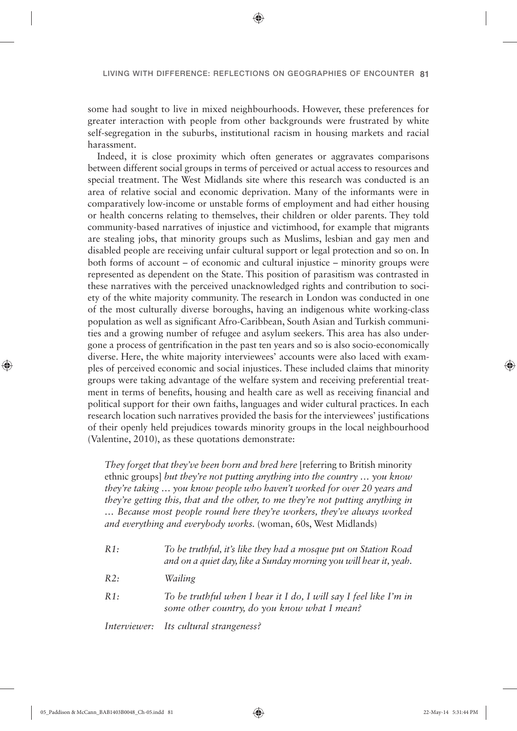some had sought to live in mixed neighbourhoods. However, these preferences for greater interaction with people from other backgrounds were frustrated by white self-segregation in the suburbs, institutional racism in housing markets and racial harassment.

Indeed, it is close proximity which often generates or aggravates comparisons between different social groups in terms of perceived or actual access to resources and special treatment. The West Midlands site where this research was conducted is an area of relative social and economic deprivation. Many of the informants were in comparatively low-income or unstable forms of employment and had either housing or health concerns relating to themselves, their children or older parents. They told community-based narratives of injustice and victimhood, for example that migrants are stealing jobs, that minority groups such as Muslims, lesbian and gay men and disabled people are receiving unfair cultural support or legal protection and so on. In both forms of account – of economic and cultural injustice – minority groups were represented as dependent on the State. This position of parasitism was contrasted in these narratives with the perceived unacknowledged rights and contribution to society of the white majority community. The research in London was conducted in one of the most culturally diverse boroughs, having an indigenous white working-class population as well as significant Afro-Caribbean, South Asian and Turkish communities and a growing number of refugee and asylum seekers. This area has also undergone a process of gentrification in the past ten years and so is also socio-economically diverse. Here, the white majority interviewees' accounts were also laced with examples of perceived economic and social injustices. These included claims that minority groups were taking advantage of the welfare system and receiving preferential treatment in terms of benefits, housing and health care as well as receiving financial and political support for their own faiths, languages and wider cultural practices. In each research location such narratives provided the basis for the interviewees' justifications of their openly held prejudices towards minority groups in the local neighbourhood (Valentine, 2010), as these quotations demonstrate:

*They forget that they've been born and bred here* [referring to British minority] ethnic groups] *but they're not putting anything into the country … you know they're taking … you know people who haven't worked for over 20 years and they're getting this, that and the other, to me they're not putting anything in … Because most people round here they're workers, they've always worked and everything and everybody works.* (woman, 60s, West Midlands)

- *R1: To be truthful, it's like they had a mosque put on Station Road and on a quiet day, like a Sunday morning you will hear it, yeah. R2: Wailing*
- *R1: To be truthful when I hear it I do, I will say I feel like I'm in some other country, do you know what I mean?*

*Interviewer: Its cultural strangeness?*

05\_Paddison & McCann\_BAB1403B0048\_Ch-05.indd 81 22-May-14 5:31:44 PM

◈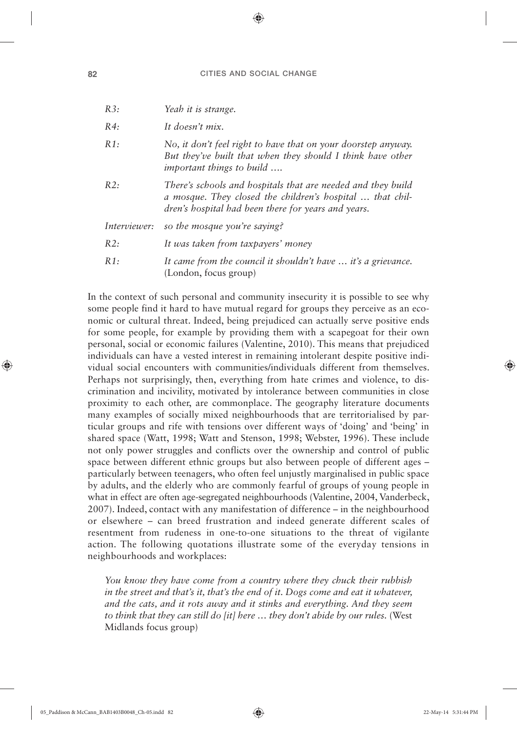#### **82** CITIES AND SOCIAL CHANGE

◈

| R3:          | Yeah it is strange.                                                                                                                                                              |
|--------------|----------------------------------------------------------------------------------------------------------------------------------------------------------------------------------|
| R4:          | It doesn't mix.                                                                                                                                                                  |
| $R1$ :       | No, it don't feel right to have that on your doorstep anyway.<br>But they've built that when they should I think have other<br><i>important things to build</i>                  |
| R2:          | There's schools and hospitals that are needed and they build<br>a mosque. They closed the children's hospital  that chil-<br>dren's hospital had been there for years and years. |
| Interviewer: | so the mosque you're saying?                                                                                                                                                     |
| R2:          | It was taken from taxpayers' money                                                                                                                                               |
| $R1$ :       | It came from the council it shouldn't have  it's a grievance.<br>(London, focus group)                                                                                           |

In the context of such personal and community insecurity it is possible to see why some people find it hard to have mutual regard for groups they perceive as an economic or cultural threat. Indeed, being prejudiced can actually serve positive ends for some people, for example by providing them with a scapegoat for their own personal, social or economic failures (Valentine, 2010). This means that prejudiced individuals can have a vested interest in remaining intolerant despite positive individual social encounters with communities/individuals different from themselves. Perhaps not surprisingly, then, everything from hate crimes and violence, to discrimination and incivility, motivated by intolerance between communities in close proximity to each other, are commonplace. The geography literature documents many examples of socially mixed neighbourhoods that are territorialised by particular groups and rife with tensions over different ways of 'doing' and 'being' in shared space (Watt, 1998; Watt and Stenson, 1998; Webster, 1996). These include not only power struggles and conflicts over the ownership and control of public space between different ethnic groups but also between people of different ages – particularly between teenagers, who often feel unjustly marginalised in public space by adults, and the elderly who are commonly fearful of groups of young people in what in effect are often age-segregated neighbourhoods (Valentine, 2004, Vanderbeck, 2007). Indeed, contact with any manifestation of difference – in the neighbourhood or elsewhere – can breed frustration and indeed generate different scales of resentment from rudeness in one-to-one situations to the threat of vigilante action. The following quotations illustrate some of the everyday tensions in neighbourhoods and workplaces:

*You know they have come from a country where they chuck their rubbish in the street and that's it, that's the end of it. Dogs come and eat it whatever, and the cats, and it rots away and it stinks and everything. And they seem to think that they can still do [it] here … they don't abide by our rules.* (West Midlands focus group)

◈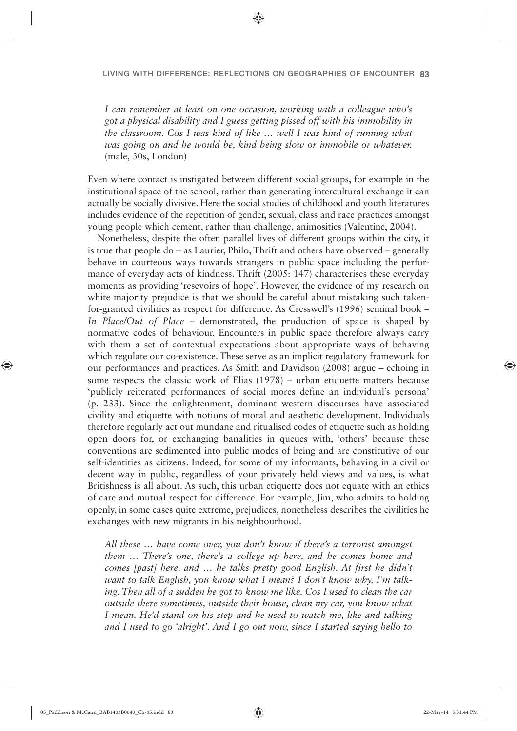*I can remember at least on one occasion, working with a colleague who's got a physical disability and I guess getting pissed off with his immobility in the classroom. Cos I was kind of like … well I was kind of running what was going on and he would be, kind being slow or immobile or whatever.* (male, 30s, London)

Even where contact is instigated between different social groups, for example in the institutional space of the school, rather than generating intercultural exchange it can actually be socially divisive. Here the social studies of childhood and youth literatures includes evidence of the repetition of gender, sexual, class and race practices amongst young people which cement, rather than challenge, animosities (Valentine, 2004).

Nonetheless, despite the often parallel lives of different groups within the city, it is true that people do – as Laurier, Philo, Thrift and others have observed – generally behave in courteous ways towards strangers in public space including the performance of everyday acts of kindness. Thrift (2005: 147) characterises these everyday moments as providing 'resevoirs of hope'. However, the evidence of my research on white majority prejudice is that we should be careful about mistaking such takenfor-granted civilities as respect for difference. As Cresswell's (1996) seminal book – *In Place/Out of Place* – demonstrated, the production of space is shaped by normative codes of behaviour. Encounters in public space therefore always carry with them a set of contextual expectations about appropriate ways of behaving which regulate our co-existence. These serve as an implicit regulatory framework for our performances and practices. As Smith and Davidson (2008) argue – echoing in some respects the classic work of Elias (1978) – urban etiquette matters because 'publicly reiterated performances of social mores define an individual's persona' (p. 233). Since the enlightenment, dominant western discourses have associated civility and etiquette with notions of moral and aesthetic development. Individuals therefore regularly act out mundane and ritualised codes of etiquette such as holding open doors for, or exchanging banalities in queues with, 'others' because these conventions are sedimented into public modes of being and are constitutive of our self-identities as citizens. Indeed, for some of my informants, behaving in a civil or decent way in public, regardless of your privately held views and values, is what Britishness is all about. As such, this urban etiquette does not equate with an ethics of care and mutual respect for difference. For example, Jim, who admits to holding openly, in some cases quite extreme, prejudices, nonetheless describes the civilities he exchanges with new migrants in his neighbourhood.

*All these … have come over, you don't know if there's a terrorist amongst them … There's one, there's a college up here, and he comes home and comes [past] here, and … he talks pretty good English. At first he didn't want to talk English, you know what I mean? I don't know why, I'm talk*ing. Then all of a sudden he got to know me like. Cos I used to clean the car *outside there sometimes, outside their house, clean my car, you know what I mean. He'd stand on his step and he used to watch me, like and talking and I used to go 'alright'. And I go out now, since I started saying hello to* 

◈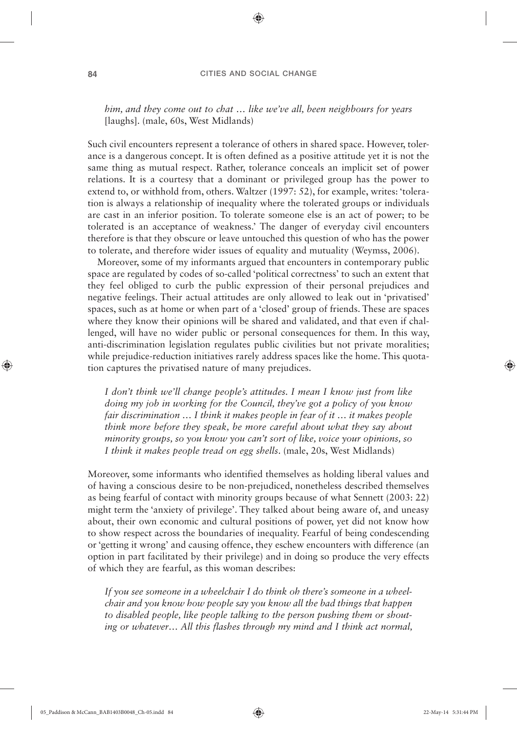*him, and they come out to chat … like we've all, been neighbours for years* [laughs]. (male, 60s, West Midlands)

Such civil encounters represent a tolerance of others in shared space. However, tolerance is a dangerous concept. It is often defined as a positive attitude yet it is not the same thing as mutual respect. Rather, tolerance conceals an implicit set of power relations. It is a courtesy that a dominant or privileged group has the power to extend to, or withhold from, others. Waltzer (1997: 52), for example, writes: 'toleration is always a relationship of inequality where the tolerated groups or individuals are cast in an inferior position. To tolerate someone else is an act of power; to be tolerated is an acceptance of weakness.' The danger of everyday civil encounters therefore is that they obscure or leave untouched this question of who has the power to tolerate, and therefore wider issues of equality and mutuality (Weymss, 2006).

Moreover, some of my informants argued that encounters in contemporary public space are regulated by codes of so-called 'political correctness' to such an extent that they feel obliged to curb the public expression of their personal prejudices and negative feelings. Their actual attitudes are only allowed to leak out in 'privatised' spaces, such as at home or when part of a 'closed' group of friends. These are spaces where they know their opinions will be shared and validated, and that even if challenged, will have no wider public or personal consequences for them. In this way, anti-discrimination legislation regulates public civilities but not private moralities; while prejudice-reduction initiatives rarely address spaces like the home. This quotation captures the privatised nature of many prejudices.

*I don't think we'll change people's attitudes. I mean I know just from like doing my job in working for the Council, they've got a policy of you know fair discrimination … I think it makes people in fear of it … it makes people think more before they speak, be more careful about what they say about minority groups, so you know you can't sort of like, voice your opinions, so I think it makes people tread on egg shells*. (male, 20s, West Midlands)

Moreover, some informants who identified themselves as holding liberal values and of having a conscious desire to be non-prejudiced, nonetheless described themselves as being fearful of contact with minority groups because of what Sennett (2003: 22) might term the 'anxiety of privilege'. They talked about being aware of, and uneasy about, their own economic and cultural positions of power, yet did not know how to show respect across the boundaries of inequality. Fearful of being condescending or 'getting it wrong' and causing offence, they eschew encounters with difference (an option in part facilitated by their privilege) and in doing so produce the very effects of which they are fearful, as this woman describes:

*If you see someone in a wheelchair I do think oh there's someone in a wheelchair and you know how people say you know all the bad things that happen to disabled people, like people talking to the person pushing them or shouting or whatever… All this flashes through my mind and I think act normal,* 

◈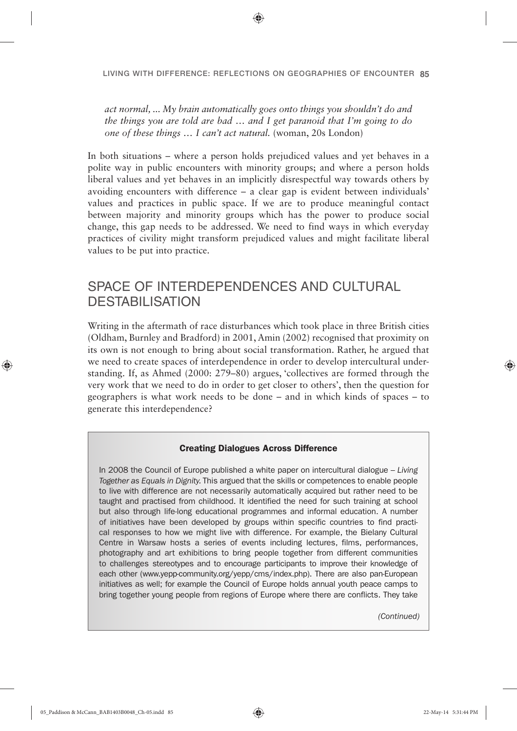LIVING WITH DIFFERENCE: REFLECTIONS ON GEOGRAPHIES OF ENCOUNTER **85**

◈

*act normal, ... My brain automatically goes onto things you shouldn't do and the things you are told are bad … and I get paranoid that I'm going to do one of these things … I can't act natural.* (woman, 20s London)

In both situations – where a person holds prejudiced values and yet behaves in a polite way in public encounters with minority groups; and where a person holds liberal values and yet behaves in an implicitly disrespectful way towards others by avoiding encounters with difference – a clear gap is evident between individuals' values and practices in public space. If we are to produce meaningful contact between majority and minority groups which has the power to produce social change, this gap needs to be addressed. We need to find ways in which everyday practices of civility might transform prejudiced values and might facilitate liberal values to be put into practice.

## SPACE OF INTERDEPENDENCES AND CULTURAL DESTABILISATION

Writing in the aftermath of race disturbances which took place in three British cities (Oldham, Burnley and Bradford) in 2001, Amin (2002) recognised that proximity on its own is not enough to bring about social transformation. Rather, he argued that we need to create spaces of interdependence in order to develop intercultural understanding. If, as Ahmed (2000: 279–80) argues, 'collectives are formed through the very work that we need to do in order to get closer to others', then the question for geographers is what work needs to be done – and in which kinds of spaces – to generate this interdependence?

#### Creating Dialogues Across Difference

In 2008 the Council of Europe published a white paper on intercultural dialogue – Living Together as Equals in Dignity. This argued that the skills or competences to enable people to live with difference are not necessarily automatically acquired but rather need to be taught and practised from childhood. It identified the need for such training at school but also through life-long educational programmes and informal education. A number of initiatives have been developed by groups within specific countries to find practical responses to how we might live with difference. For example, the Bielany Cultural Centre in Warsaw hosts a series of events including lectures, films, performances, photography and art exhibitions to bring people together from different communities to challenges stereotypes and to encourage participants to improve their knowledge of each other (www.yepp-community.org/yepp/cms/index.php). There are also pan-European initiatives as well; for example the Council of Europe holds annual youth peace camps to bring together young people from regions of Europe where there are conflicts. They take

(Continued)

⊕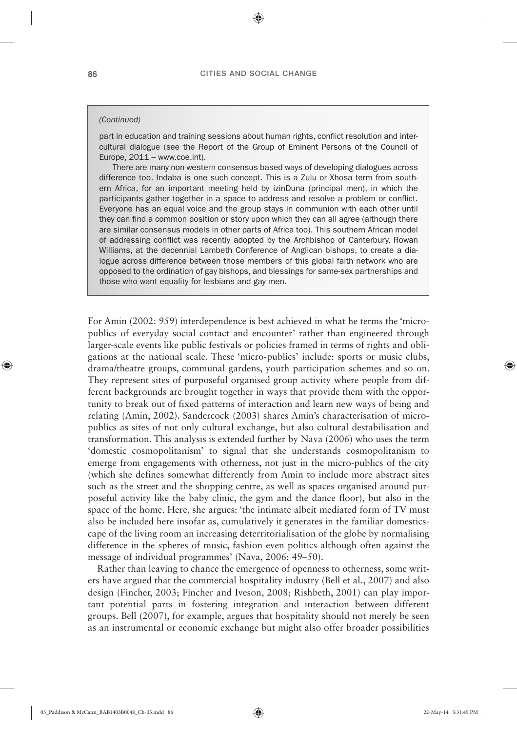#### (Continued)

part in education and training sessions about human rights, conflict resolution and intercultural dialogue (see the Report of the Group of Eminent Persons of the Council of Europe, 2011 – www.coe.int).

There are many non-western consensus based ways of developing dialogues across difference too. Indaba is one such concept. This is a Zulu or Xhosa term from southern Africa, for an important meeting held by izinDuna (principal men), in which the participants gather together in a space to address and resolve a problem or conflict. Everyone has an equal voice and the group stays in communion with each other until they can find a common position or story upon which they can all agree (although there are similar consensus models in other parts of Africa too). This southern African model of addressing conflict was recently adopted by the Archbishop of Canterbury, Rowan Williams, at the decennial Lambeth Conference of Anglican bishops, to create a dialogue across difference between those members of this global faith network who are opposed to the ordination of gay bishops, and blessings for same-sex partnerships and those who want equality for lesbians and gay men.

For Amin (2002: 959) interdependence is best achieved in what he terms the 'micropublics of everyday social contact and encounter' rather than engineered through larger-scale events like public festivals or policies framed in terms of rights and obligations at the national scale. These 'micro-publics' include: sports or music clubs, drama/theatre groups, communal gardens, youth participation schemes and so on. They represent sites of purposeful organised group activity where people from different backgrounds are brought together in ways that provide them with the opportunity to break out of fixed patterns of interaction and learn new ways of being and relating (Amin, 2002). Sandercock (2003) shares Amin's characterisation of micropublics as sites of not only cultural exchange, but also cultural destabilisation and transformation. This analysis is extended further by Nava (2006) who uses the term 'domestic cosmopolitanism' to signal that she understands cosmopolitanism to emerge from engagements with otherness, not just in the micro-publics of the city (which she defines somewhat differently from Amin to include more abstract sites such as the street and the shopping centre, as well as spaces organised around purposeful activity like the baby clinic, the gym and the dance floor), but also in the space of the home. Here, she argues: 'the intimate albeit mediated form of TV must also be included here insofar as, cumulatively it generates in the familiar domesticscape of the living room an increasing deterritorialisation of the globe by normalising difference in the spheres of music, fashion even politics although often against the message of individual programmes' (Nava, 2006: 49–50).

Rather than leaving to chance the emergence of openness to otherness, some writers have argued that the commercial hospitality industry (Bell et al., 2007) and also design (Fincher, 2003; Fincher and Iveson, 2008; Rishbeth, 2001) can play important potential parts in fostering integration and interaction between different groups. Bell (2007), for example, argues that hospitality should not merely be seen as an instrumental or economic exchange but might also offer broader possibilities

⊕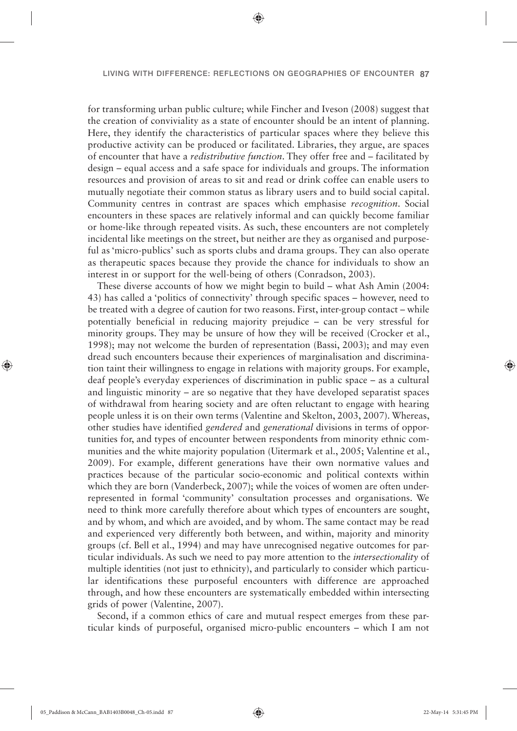for transforming urban public culture; while Fincher and Iveson (2008) suggest that the creation of conviviality as a state of encounter should be an intent of planning. Here, they identify the characteristics of particular spaces where they believe this productive activity can be produced or facilitated. Libraries, they argue, are spaces of encounter that have a *redistributive function*. They offer free and – facilitated by design – equal access and a safe space for individuals and groups. The information resources and provision of areas to sit and read or drink coffee can enable users to mutually negotiate their common status as library users and to build social capital. Community centres in contrast are spaces which emphasise *recognition*. Social encounters in these spaces are relatively informal and can quickly become familiar or home-like through repeated visits. As such, these encounters are not completely incidental like meetings on the street, but neither are they as organised and purposeful as 'micro-publics' such as sports clubs and drama groups. They can also operate as therapeutic spaces because they provide the chance for individuals to show an interest in or support for the well-being of others (Conradson, 2003).

These diverse accounts of how we might begin to build – what Ash Amin (2004: 43) has called a 'politics of connectivity' through specific spaces – however, need to be treated with a degree of caution for two reasons. First, inter-group contact – while potentially beneficial in reducing majority prejudice – can be very stressful for minority groups. They may be unsure of how they will be received (Crocker et al., 1998); may not welcome the burden of representation (Bassi, 2003); and may even dread such encounters because their experiences of marginalisation and discrimination taint their willingness to engage in relations with majority groups. For example, deaf people's everyday experiences of discrimination in public space – as a cultural and linguistic minority – are so negative that they have developed separatist spaces of withdrawal from hearing society and are often reluctant to engage with hearing people unless it is on their own terms (Valentine and Skelton, 2003, 2007). Whereas, other studies have identified *gendered* and *generational* divisions in terms of opportunities for, and types of encounter between respondents from minority ethnic communities and the white majority population (Uitermark et al., 2005; Valentine et al., 2009). For example, different generations have their own normative values and practices because of the particular socio-economic and political contexts within which they are born (Vanderbeck, 2007); while the voices of women are often underrepresented in formal 'community' consultation processes and organisations. We need to think more carefully therefore about which types of encounters are sought, and by whom, and which are avoided, and by whom. The same contact may be read and experienced very differently both between, and within, majority and minority groups (cf. Bell et al., 1994) and may have unrecognised negative outcomes for particular individuals. As such we need to pay more attention to the *intersectionality* of multiple identities (not just to ethnicity), and particularly to consider which particular identifications these purposeful encounters with difference are approached through, and how these encounters are systematically embedded within intersecting grids of power (Valentine, 2007).

Second, if a common ethics of care and mutual respect emerges from these particular kinds of purposeful, organised micro-public encounters – which I am not

◈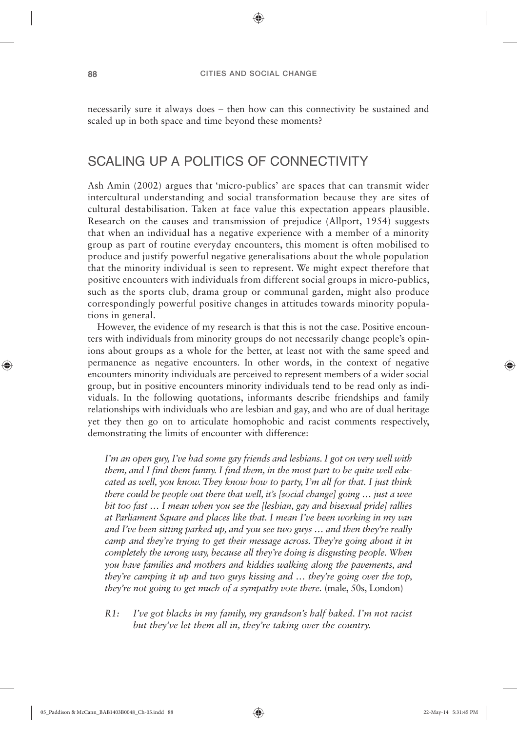◈

necessarily sure it always does – then how can this connectivity be sustained and scaled up in both space and time beyond these moments?

## SCALING UP A POLITICS OF CONNECTIVITY

Ash Amin (2002) argues that 'micro-publics' are spaces that can transmit wider intercultural understanding and social transformation because they are sites of cultural destabilisation. Taken at face value this expectation appears plausible. Research on the causes and transmission of prejudice (Allport, 1954) suggests that when an individual has a negative experience with a member of a minority group as part of routine everyday encounters, this moment is often mobilised to produce and justify powerful negative generalisations about the whole population that the minority individual is seen to represent. We might expect therefore that positive encounters with individuals from different social groups in micro-publics, such as the sports club, drama group or communal garden, might also produce correspondingly powerful positive changes in attitudes towards minority populations in general.

However, the evidence of my research is that this is not the case. Positive encounters with individuals from minority groups do not necessarily change people's opinions about groups as a whole for the better, at least not with the same speed and permanence as negative encounters. In other words, in the context of negative encounters minority individuals are perceived to represent members of a wider social group, but in positive encounters minority individuals tend to be read only as individuals. In the following quotations, informants describe friendships and family relationships with individuals who are lesbian and gay, and who are of dual heritage yet they then go on to articulate homophobic and racist comments respectively, demonstrating the limits of encounter with difference:

*I'm an open guy, I've had some gay friends and lesbians. I got on very well with them, and I find them funny. I find them, in the most part to be quite well educated as well, you know. They know how to party, I'm all for that. I just think there could be people out there that well, it's [social change] going … just a wee bit too fast … I mean when you see the [lesbian, gay and bisexual pride] rallies at Parliament Square and places like that. I mean I've been working in my van and I've been sitting parked up, and you see two guys … and then they're really camp and they're trying to get their message across. They're going about it in completely the wrong way, because all they're doing is disgusting people. When you have families and mothers and kiddies walking along the pavements, and they're camping it up and two guys kissing and … they're going over the top, they're not going to get much of a sympathy vote there.* (male, 50s, London)

*R1: I've got blacks in my family, my grandson's half baked. I'm not racist but they've let them all in, they're taking over the country.*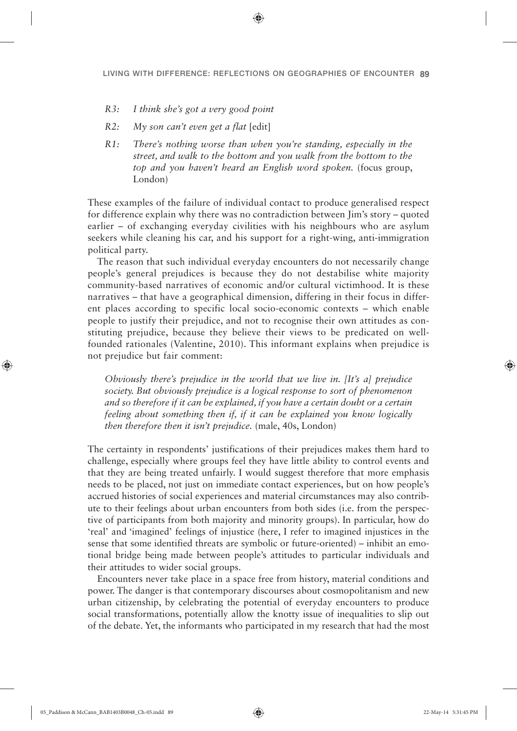- *R3: I think she's got a very good point*
- *R2: My son can't even get a flat* [edit]
- *R1: There's nothing worse than when you're standing, especially in the street, and walk to the bottom and you walk from the bottom to the top and you haven't heard an English word spoken.* (focus group, London)

These examples of the failure of individual contact to produce generalised respect for difference explain why there was no contradiction between Jim's story – quoted earlier – of exchanging everyday civilities with his neighbours who are asylum seekers while cleaning his car, and his support for a right-wing, anti-immigration political party.

The reason that such individual everyday encounters do not necessarily change people's general prejudices is because they do not destabilise white majority community-based narratives of economic and/or cultural victimhood. It is these narratives – that have a geographical dimension, differing in their focus in different places according to specific local socio-economic contexts – which enable people to justify their prejudice, and not to recognise their own attitudes as constituting prejudice, because they believe their views to be predicated on wellfounded rationales (Valentine, 2010). This informant explains when prejudice is not prejudice but fair comment:

*Obviously there's prejudice in the world that we live in. [It's a] prejudice society. But obviously prejudice is a logical response to sort of phenomenon and so therefore if it can be explained, if you have a certain doubt or a certain feeling about something then if, if it can be explained you know logically then therefore then it isn't prejudice.* (male, 40s, London)

The certainty in respondents' justifications of their prejudices makes them hard to challenge, especially where groups feel they have little ability to control events and that they are being treated unfairly. I would suggest therefore that more emphasis needs to be placed, not just on immediate contact experiences, but on how people's accrued histories of social experiences and material circumstances may also contribute to their feelings about urban encounters from both sides (i.e. from the perspective of participants from both majority and minority groups). In particular, how do 'real' and 'imagined' feelings of injustice (here, I refer to imagined injustices in the sense that some identified threats are symbolic or future-oriented) – inhibit an emotional bridge being made between people's attitudes to particular individuals and their attitudes to wider social groups.

Encounters never take place in a space free from history, material conditions and power. The danger is that contemporary discourses about cosmopolitanism and new urban citizenship, by celebrating the potential of everyday encounters to produce social transformations, potentially allow the knotty issue of inequalities to slip out of the debate. Yet, the informants who participated in my research that had the most

⊕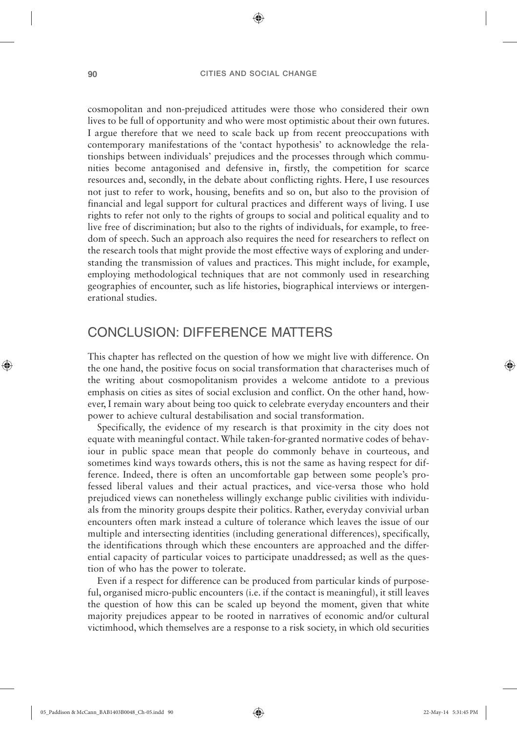cosmopolitan and non-prejudiced attitudes were those who considered their own lives to be full of opportunity and who were most optimistic about their own futures. I argue therefore that we need to scale back up from recent preoccupations with contemporary manifestations of the 'contact hypothesis' to acknowledge the relationships between individuals' prejudices and the processes through which communities become antagonised and defensive in, firstly, the competition for scarce resources and, secondly, in the debate about conflicting rights. Here, I use resources not just to refer to work, housing, benefits and so on, but also to the provision of financial and legal support for cultural practices and different ways of living. I use rights to refer not only to the rights of groups to social and political equality and to live free of discrimination; but also to the rights of individuals, for example, to freedom of speech. Such an approach also requires the need for researchers to reflect on the research tools that might provide the most effective ways of exploring and understanding the transmission of values and practices. This might include, for example, employing methodological techniques that are not commonly used in researching geographies of encounter, such as life histories, biographical interviews or intergenerational studies.

## CONCLUSION: DIFFERENCE MATTERS

This chapter has reflected on the question of how we might live with difference. On the one hand, the positive focus on social transformation that characterises much of the writing about cosmopolitanism provides a welcome antidote to a previous emphasis on cities as sites of social exclusion and conflict. On the other hand, however, I remain wary about being too quick to celebrate everyday encounters and their power to achieve cultural destabilisation and social transformation.

Specifically, the evidence of my research is that proximity in the city does not equate with meaningful contact. While taken-for-granted normative codes of behaviour in public space mean that people do commonly behave in courteous, and sometimes kind ways towards others, this is not the same as having respect for difference. Indeed, there is often an uncomfortable gap between some people's professed liberal values and their actual practices, and vice-versa those who hold prejudiced views can nonetheless willingly exchange public civilities with individuals from the minority groups despite their politics. Rather, everyday convivial urban encounters often mark instead a culture of tolerance which leaves the issue of our multiple and intersecting identities (including generational differences), specifically, the identifications through which these encounters are approached and the differential capacity of particular voices to participate unaddressed; as well as the question of who has the power to tolerate.

Even if a respect for difference can be produced from particular kinds of purposeful, organised micro-public encounters (i.e. if the contact is meaningful), it still leaves the question of how this can be scaled up beyond the moment, given that white majority prejudices appear to be rooted in narratives of economic and/or cultural victimhood, which themselves are a response to a risk society, in which old securities

◈